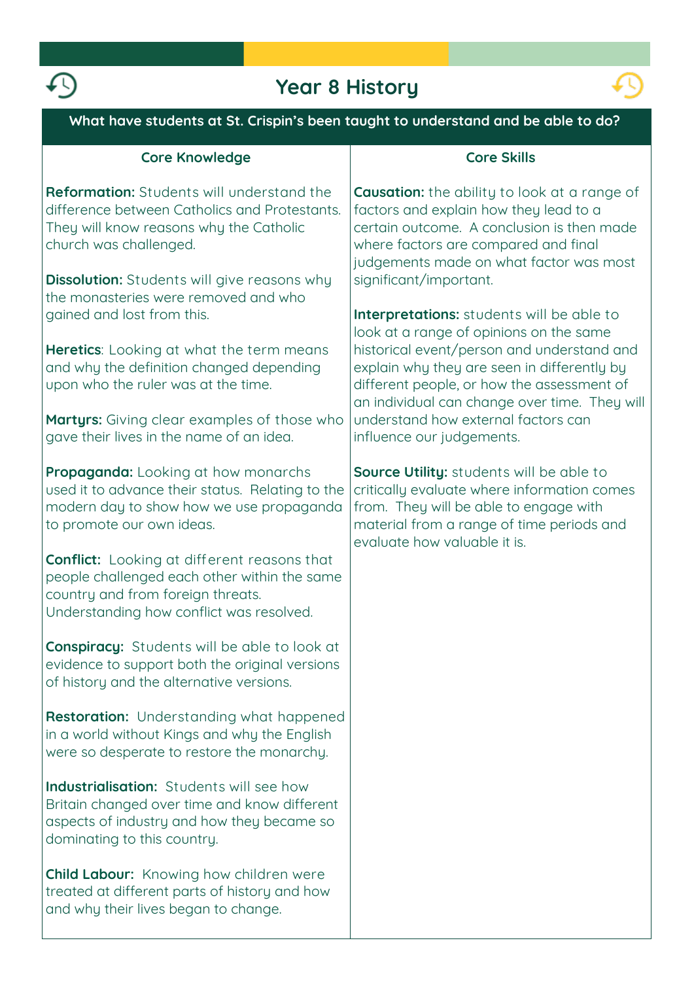

# **Year 8 History**



| What have students at St. Crispin's been taught to understand and be able to do?                                                                                                                                                                              |                                                                                                                                                                                                                                                                            |  |
|---------------------------------------------------------------------------------------------------------------------------------------------------------------------------------------------------------------------------------------------------------------|----------------------------------------------------------------------------------------------------------------------------------------------------------------------------------------------------------------------------------------------------------------------------|--|
| <b>Core Knowledge</b>                                                                                                                                                                                                                                         | <b>Core Skills</b>                                                                                                                                                                                                                                                         |  |
| Reformation: Students will understand the<br>difference between Catholics and Protestants.<br>They will know reasons why the Catholic<br>church was challenged.<br><b>Dissolution:</b> Students will give reasons why<br>the monasteries were removed and who | <b>Causation:</b> the ability to look at a range of<br>factors and explain how they lead to a<br>certain outcome. A conclusion is then made<br>where factors are compared and final<br>judgements made on what factor was most<br>significant/important.                   |  |
| gained and lost from this.                                                                                                                                                                                                                                    | <b>Interpretations:</b> students will be able to                                                                                                                                                                                                                           |  |
| <b>Heretics:</b> Looking at what the term means<br>and why the definition changed depending<br>upon who the ruler was at the time.<br><b>Martyrs:</b> Giving clear examples of those who                                                                      | look at a range of opinions on the same<br>historical event/person and understand and<br>explain why they are seen in differently by<br>different people, or how the assessment of<br>an individual can change over time. They will<br>understand how external factors can |  |
| gave their lives in the name of an idea.                                                                                                                                                                                                                      | influence our judgements.                                                                                                                                                                                                                                                  |  |
| <b>Propaganda:</b> Looking at how monarchs<br>used it to advance their status. Relating to the<br>modern day to show how we use propaganda<br>to promote our own ideas.                                                                                       | <b>Source Utility:</b> students will be able to<br>critically evaluate where information comes<br>from. They will be able to engage with<br>material from a range of time periods and<br>evaluate how valuable it is.                                                      |  |
| <b>Conflict:</b> Looking at different reasons that<br>people challenged each other within the same<br>country and from foreign threats.<br>Understanding how conflict was resolved.                                                                           |                                                                                                                                                                                                                                                                            |  |
| <b>Conspiracy:</b> Students will be able to look at<br>evidence to support both the original versions<br>of history and the alternative versions.                                                                                                             |                                                                                                                                                                                                                                                                            |  |
| <b>Restoration:</b> Understanding what happened<br>in a world without Kings and why the English<br>were so desperate to restore the monarchy.                                                                                                                 |                                                                                                                                                                                                                                                                            |  |
| <b>Industrialisation:</b> Students will see how<br>Britain changed over time and know different<br>aspects of industry and how they became so<br>dominating to this country.                                                                                  |                                                                                                                                                                                                                                                                            |  |
| <b>Child Labour:</b> Knowing how children were<br>treated at different parts of history and how<br>and why their lives began to change.                                                                                                                       |                                                                                                                                                                                                                                                                            |  |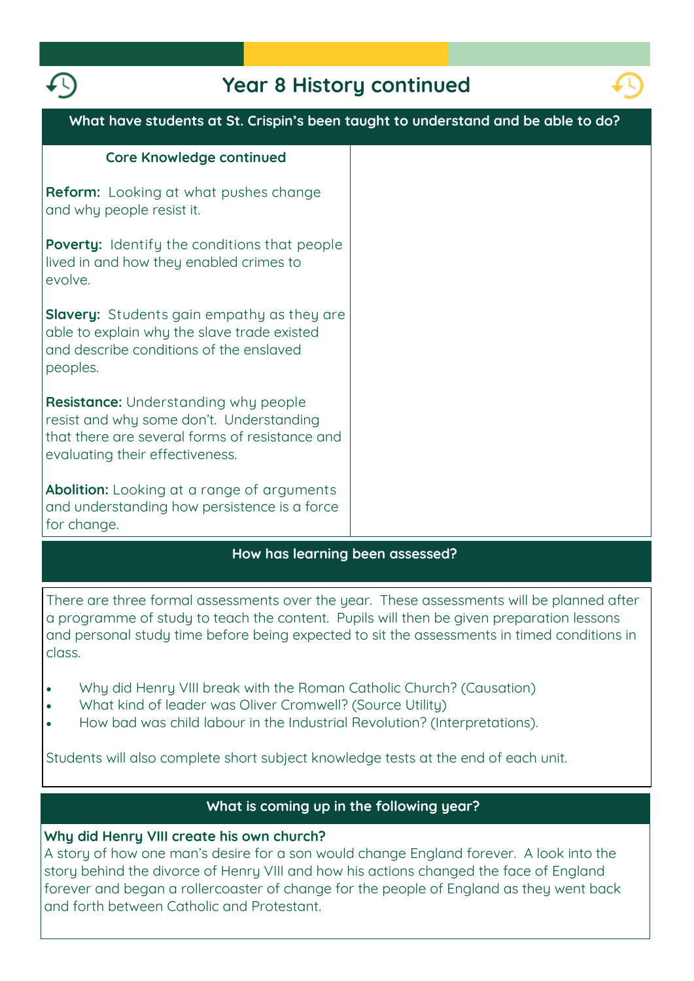

## **Year 8 History continued**



| What have students at St. Crispin's been taught to understand and be able to do?                                                                                             |  |
|------------------------------------------------------------------------------------------------------------------------------------------------------------------------------|--|
| <b>Core Knowledge continued</b>                                                                                                                                              |  |
| <b>Reform:</b> Looking at what pushes change<br>and why people resist it.                                                                                                    |  |
| <b>Poverty:</b> Identify the conditions that people<br>lived in and how they enabled crimes to<br>evolve.                                                                    |  |
| <b>Slavery:</b> Students gain empathy as they are<br>able to explain why the slave trade existed<br>and describe conditions of the enslaved<br>peoples.                      |  |
| <b>Resistance:</b> Understanding why people<br>resist and why some don't. Understanding<br>that there are several forms of resistance and<br>evaluating their effectiveness. |  |
| <b>Abolition:</b> Looking at a range of arguments<br>and understanding how persistence is a force<br>for change.                                                             |  |
| How has lograing boon gessessed?                                                                                                                                             |  |

#### **How has learning been assessed?**

**There are three formal assessments over the year. These assessments will be planned after a programme of study to teach the content. Pupils will then be given preparation lessons and personal study time before being expected to sit the assessments in timed conditions in class.**

- **Why did Henry VIII break with the Roman Catholic Church? (Causation)**
- **What kind of leader was Oliver Cromwell? (Source Utility)**
- **How bad was child labour in the Industrial Revolution? (Interpretations).**

**Students will also complete short subject knowledge tests at the end of each unit.** 

### **What is coming up in the following year?**

#### **Why did Henry VIII create his own church?**

**A story of how one man's desire for a son would change England forever. A look into the story behind the divorce of Henry VIII and how his actions changed the face of England forever and began a rollercoaster of change for the people of England as they went back and forth between Catholic and Protestant.**